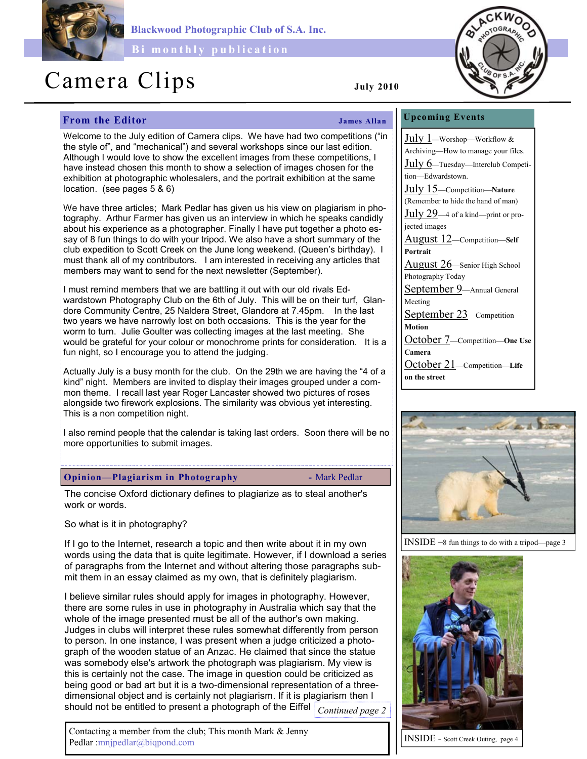

Blackwood Photographic Club of S.A. Inc.

Bi monthly publication

# Camera Clips July 2010

# **From the Editor** James Allan

Welcome to the July edition of Camera clips. We have had two competitions ("in the style of", and "mechanical") and several workshops since our last edition. Although I would love to show the excellent images from these competitions, I have instead chosen this month to show a selection of images chosen for the exhibition at photographic wholesalers, and the portrait exhibition at the same location. (see pages 5 & 6)

We have three articles; Mark Pedlar has given us his view on plagiarism in photography. Arthur Farmer has given us an interview in which he speaks candidly about his experience as a photographer. Finally I have put together a photo essay of 8 fun things to do with your tripod. We also have a short summary of the club expedition to Scott Creek on the June long weekend. (Queen's birthday). I must thank all of my contributors. I am interested in receiving any articles that members may want to send for the next newsletter (September).

I must remind members that we are battling it out with our old rivals Edwardstown Photography Club on the 6th of July. This will be on their turf, Glandore Community Centre, 25 Naldera Street, Glandore at 7.45pm. In the last two years we have narrowly lost on both occasions. This is the year for the worm to turn. Julie Goulter was collecting images at the last meeting. She would be grateful for your colour or monochrome prints for consideration. It is a fun night, so I encourage you to attend the judging.

Actually July is a busy month for the club. On the 29th we are having the "4 of a kind" night. Members are invited to display their images grouped under a common theme. I recall last year Roger Lancaster showed two pictures of roses alongside two firework explosions. The similarity was obvious yet interesting. This is a non competition night.

I also remind people that the calendar is taking last orders. Soon there will be no more opportunities to submit images.

## Opinion—Plagiarism in Photography - Mark Pedlar

The concise Oxford dictionary defines to plagiarize as to steal another's work or words.

So what is it in photography?

If I go to the Internet, research a topic and then write about it in my own words using the data that is quite legitimate. However, if I download a series of paragraphs from the Internet and without altering those paragraphs submit them in an essay claimed as my own, that is definitely plagiarism.

I believe similar rules should apply for images in photography. However, there are some rules in use in photography in Australia which say that the whole of the image presented must be all of the author's own making. Judges in clubs will interpret these rules somewhat differently from person to person. In one instance, I was present when a judge criticized a photograph of the wooden statue of an Anzac. He claimed that since the statue was somebody else's artwork the photograph was plagiarism. My view is this is certainly not the case. The image in question could be criticized as being good or bad art but it is a two-dimensional representation of a threedimensional object and is certainly not plagiarism. If it is plagiarism then I should not be entitled to present a photograph of the Eiffel  $\big|_{\textit{Continued page 2}}$ 



July 15—Competition—Nature (Remember to hide the hand of man)

July 29—4 of a kind—print or projected images

August 12—Competition—Self Portrait

August 26—Senior High School Photography Today

September 9-Annual General Meeting September 23-Competition-

Motion

October 7—Competition—One Use Camera

October 21—Competition—Life on the street



INSIDE –8 fun things to do with a tripod—page 3



INSIDE - Scott Creek Outing, page 4

Contacting a member from the club; This month Mark & Jenny Pedlar :mnjpedlar@biqpond.com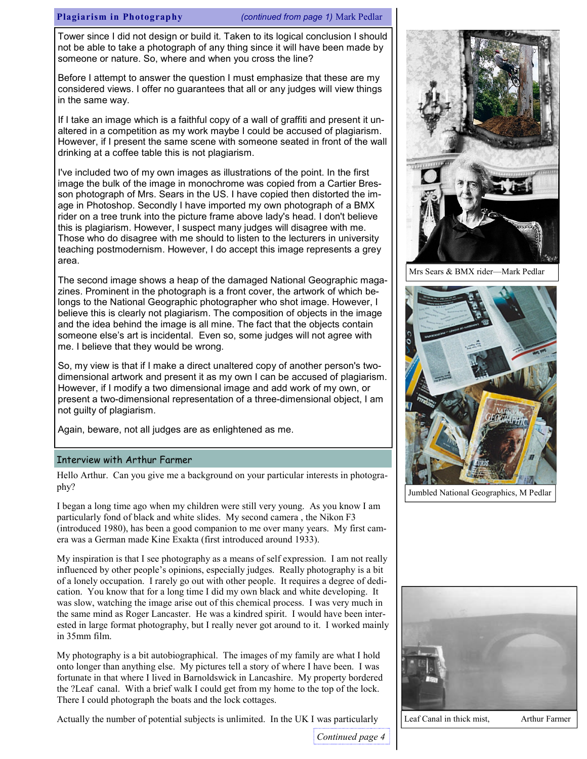#### Plagiarism in Photography (continued from page 1) Mark Pedlar

Tower since I did not design or build it. Taken to its logical conclusion I should not be able to take a photograph of any thing since it will have been made by someone or nature. So, where and when you cross the line?

Before I attempt to answer the question I must emphasize that these are my considered views. I offer no guarantees that all or any judges will view things in the same way.

If I take an image which is a faithful copy of a wall of graffiti and present it unaltered in a competition as my work maybe I could be accused of plagiarism. However, if I present the same scene with someone seated in front of the wall drinking at a coffee table this is not plagiarism.

I've included two of my own images as illustrations of the point. In the first image the bulk of the image in monochrome was copied from a Cartier Bresson photograph of Mrs. Sears in the US. I have copied then distorted the image in Photoshop. Secondly I have imported my own photograph of a BMX rider on a tree trunk into the picture frame above lady's head. I don't believe this is plagiarism. However, I suspect many judges will disagree with me. Those who do disagree with me should to listen to the lecturers in university teaching postmodernism. However, I do accept this image represents a grey area.

The second image shows a heap of the damaged National Geographic magazines. Prominent in the photograph is a front cover, the artwork of which belongs to the National Geographic photographer who shot image. However, I believe this is clearly not plagiarism. The composition of objects in the image and the idea behind the image is all mine. The fact that the objects contain someone else's art is incidental. Even so, some judges will not agree with me. I believe that they would be wrong.

So, my view is that if I make a direct unaltered copy of another person's twodimensional artwork and present it as my own I can be accused of plagiarism. However, if I modify a two dimensional image and add work of my own, or present a two-dimensional representation of a three-dimensional object, I am not guilty of plagiarism.

Again, beware, not all judges are as enlightened as me.

#### Interview with Arthur Farmer

Hello Arthur. Can you give me a background on your particular interests in photography?

I began a long time ago when my children were still very young. As you know I am particularly fond of black and white slides. My second camera , the Nikon F3 (introduced 1980), has been a good companion to me over many years. My first camera was a German made Kine Exakta (first introduced around 1933).

My inspiration is that I see photography as a means of self expression. I am not really influenced by other people's opinions, especially judges. Really photography is a bit of a lonely occupation. I rarely go out with other people. It requires a degree of dedication. You know that for a long time I did my own black and white developing. It was slow, watching the image arise out of this chemical process. I was very much in the same mind as Roger Lancaster. He was a kindred spirit. I would have been interested in large format photography, but I really never got around to it. I worked mainly in 35mm film.

My photography is a bit autobiographical. The images of my family are what I hold onto longer than anything else. My pictures tell a story of where I have been. I was fortunate in that where I lived in Barnoldswick in Lancashire. My property bordered the ?Leaf canal. With a brief walk I could get from my home to the top of the lock. There I could photograph the boats and the lock cottages.

Actually the number of potential subjects is unlimited. In the UK I was particularly



Mrs Sears & BMX rider—Mark Pedlar



Jumbled National Geographics, M Pedlar



Continued page 4